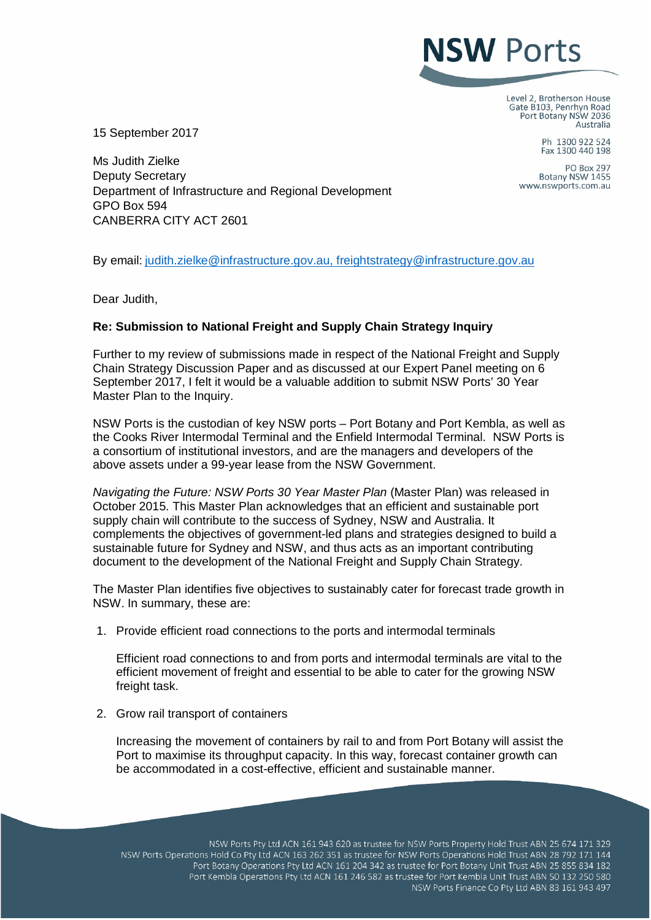## **NSW Ports**

Level 2, Brotherson House Gate B103, Penrhyn Road Port Botany NSW 2036 Australia

15 September 2017

Ms Judith Zielke Deputy Secretary Department of Infrastructure and Regional Development GPO Box 594 CANBERRA CITY ACT 2601

Ph 1300 922 524 Fax 1300 440 198

**PO Box 297** Botany NSW 1455 www.nswports.com.au

By email: [judith.zielke@infrastructure.gov.au,](mailto:judith.zielke@infrastructure.gov.au) [freightstrategy@infrastructure.gov.au](mailto:freightstrategy@infrastructure.gov.au)

Dear Judith,

## **Re: Submission to National Freight and Supply Chain Strategy Inquiry**

Further to my review of submissions made in respect of the National Freight and Supply Chain Strategy Discussion Paper and as discussed at our Expert Panel meeting on 6 September 2017, I felt it would be a valuable addition to submit NSW Ports' 30 Year Master Plan to the Inquiry.

NSW Ports is the custodian of key NSW ports – Port Botany and Port Kembla, as well as the Cooks River Intermodal Terminal and the Enfield Intermodal Terminal. NSW Ports is a consortium of institutional investors, and are the managers and developers of the above assets under a 99-year lease from the NSW Government.

*Navigating the Future: NSW Ports 30 Year Master Plan* (Master Plan) was released in October 2015. This Master Plan acknowledges that an efficient and sustainable port supply chain will contribute to the success of Sydney, NSW and Australia. It complements the objectives of government-led plans and strategies designed to build a sustainable future for Sydney and NSW, and thus acts as an important contributing document to the development of the National Freight and Supply Chain Strategy.

The Master Plan identifies five objectives to sustainably cater for forecast trade growth in NSW. In summary, these are:

1. Provide efficient road connections to the ports and intermodal terminals

Efficient road connections to and from ports and intermodal terminals are vital to the efficient movement of freight and essential to be able to cater for the growing NSW freight task.

2. Grow rail transport of containers

Increasing the movement of containers by rail to and from Port Botany will assist the Port to maximise its throughput capacity. In this way, forecast container growth can be accommodated in a cost-effective, efficient and sustainable manner.

NSW Ports Pty Ltd ACN 161 943 620 as trustee for NSW Ports Property Hold Trust ABN 25 674 171 329 NSW Ports Operations Hold Co Pty Ltd ACN 163 262 351 as trustee for NSW Ports Operations Hold Trust ABN 28 792 171 144 Port Botany Operations Pty Ltd ACN 161 204 342 as trustee for Port Botany Unit Trust ABN 25 855 834 182 Port Kembla Operations Pty Ltd ACN 161 246 582 as trustee for Port Kembla Unit Trust ABN 50 132 250 580 NSW Ports Finance Co Pty Ltd ABN 83 161 943 497